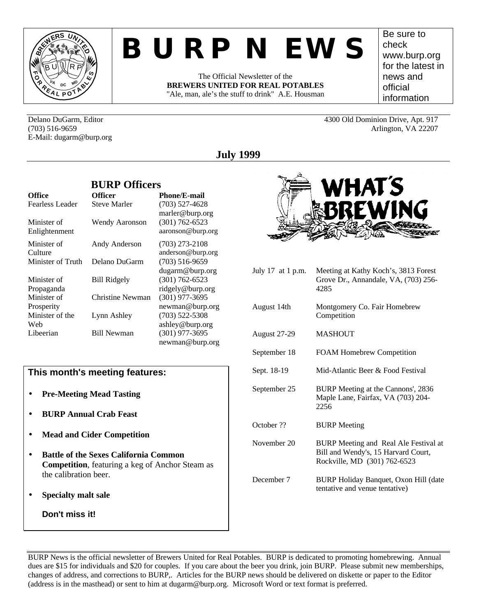

# *BURP NEWS*

The Official Newsletter of the **BREWERS UNITED FOR REAL POTABLES** "Ale, man, ale's the stuff to drink" A.E. Housman

Be sure to check www.burp.org for the latest in news and official information

Delano DuGarm, Editor 4300 Old Dominion Drive, Apt. 917 (703) 516-9659 Arlington, VA 22207 E-Mail: dugarm@burp.org

# **July 1999**

|                              | <b>BURP Officers</b> |                                         |  |  |
|------------------------------|----------------------|-----------------------------------------|--|--|
| Office                       | <b>Officer</b>       | <b>Phone/E-mail</b>                     |  |  |
| Fearless Leader              | Steve Marler         | $(703)$ 527-4628<br>marler@burp.org     |  |  |
| Minister of<br>Enlightenment | Wendy Aaronson       | $(301) 762 - 6523$<br>aaronson@burp.org |  |  |
| Minister of<br>Culture       | Andy Anderson        | $(703)$ 273-2108<br>anderson@burp.org   |  |  |
| Minister of Truth            | Delano DuGarm        | $(703)$ 516-9659<br>dugarm@burp.org     |  |  |
| Minister of<br>Propaganda    | <b>Bill Ridgely</b>  | $(301) 762 - 6523$<br>ridgely@burp.org  |  |  |
| Minister of<br>Prosperity    | Christine Newman     | $(301)$ 977-3695<br>newman@burp.org     |  |  |
| Minister of the<br>Web       | Lynn Ashley          | $(703)$ 522-5308<br>ashley@burp.org     |  |  |
| Libeerian                    | <b>Bill Newman</b>   | $(301)$ 977-3695<br>newman@burp.org     |  |  |

## **This month's meeting features:**

- **Pre-Meeting Mead Tasting**
- **BURP Annual Crab Feast**
- **Mead and Cider Competition**
- **Battle of the Sexes California Common Competition**, featuring a keg of Anchor Steam as the calibration beer.
- **Specialty malt sale**

**Don't miss it!**

| WHAT S          |  |
|-----------------|--|
| <b>SBREWING</b> |  |
|                 |  |

| July 17 at 1 p.m.   | Meeting at Kathy Koch's, 3813 Forest<br>Grove Dr., Annandale, VA, (703) 256-<br>4285                         |
|---------------------|--------------------------------------------------------------------------------------------------------------|
| August 14th         | Montgomery Co. Fair Homebrew<br>Competition                                                                  |
| <b>August 27-29</b> | MASHOUT                                                                                                      |
| September 18        | <b>FOAM Homebrew Competition</b>                                                                             |
| Sept. 18-19         | Mid-Atlantic Beer & Food Festival                                                                            |
| September 25        | BURP Meeting at the Cannons', 2836<br>Maple Lane, Fairfax, VA (703) 204-<br>2256                             |
| October ??          | <b>BURP</b> Meeting                                                                                          |
| November 20         | BURP Meeting and Real Ale Festival at<br>Bill and Wendy's, 15 Harvard Court,<br>Rockville, MD (301) 762-6523 |
| December 7          | BURP Holiday Banquet, Oxon Hill (date<br>tentative and venue tentative)                                      |

BURP News is the official newsletter of Brewers United for Real Potables. BURP is dedicated to promoting homebrewing. Annual dues are \$15 for individuals and \$20 for couples. If you care about the beer you drink, join BURP. Please submit new memberships, changes of address, and corrections to BURP,. Articles for the BURP news should be delivered on diskette or paper to the Editor (address is in the masthead) or sent to him at dugarm@burp.org. Microsoft Word or text format is preferred.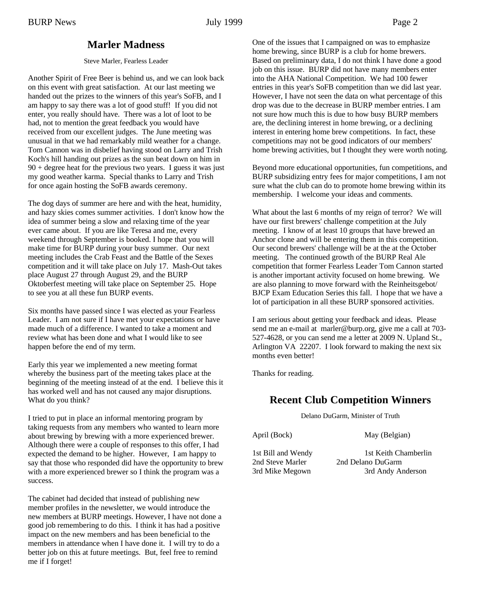## **Marler Madness**

#### Steve Marler, Fearless Leader

Another Spirit of Free Beer is behind us, and we can look back on this event with great satisfaction. At our last meeting we handed out the prizes to the winners of this year's SoFB, and I am happy to say there was a lot of good stuff! If you did not enter, you really should have. There was a lot of loot to be had, not to mention the great feedback you would have received from our excellent judges. The June meeting was unusual in that we had remarkably mild weather for a change. Tom Cannon was in disbelief having stood on Larry and Trish Koch's hill handing out prizes as the sun beat down on him in  $90 + degree$  heat for the previous two years. I guess it was just my good weather karma. Special thanks to Larry and Trish for once again hosting the SoFB awards ceremony.

The dog days of summer are here and with the heat, humidity, and hazy skies comes summer activities. I don't know how the idea of summer being a slow and relaxing time of the year ever came about. If you are like Teresa and me, every weekend through September is booked. I hope that you will make time for BURP during your busy summer. Our next meeting includes the Crab Feast and the Battle of the Sexes competition and it will take place on July 17. Mash-Out takes place August 27 through August 29, and the BURP Oktoberfest meeting will take place on September 25. Hope to see you at all these fun BURP events.

Six months have passed since I was elected as your Fearless Leader. I am not sure if I have met your expectations or have made much of a difference. I wanted to take a moment and review what has been done and what I would like to see happen before the end of my term.

Early this year we implemented a new meeting format whereby the business part of the meeting takes place at the beginning of the meeting instead of at the end. I believe this it has worked well and has not caused any major disruptions. What do you think?

I tried to put in place an informal mentoring program by taking requests from any members who wanted to learn more about brewing by brewing with a more experienced brewer. Although there were a couple of responses to this offer, I had expected the demand to be higher. However, I am happy to say that those who responded did have the opportunity to brew with a more experienced brewer so I think the program was a success.

The cabinet had decided that instead of publishing new member profiles in the newsletter, we would introduce the new members at BURP meetings. However, I have not done a good job remembering to do this. I think it has had a positive impact on the new members and has been beneficial to the members in attendance when I have done it. I will try to do a better job on this at future meetings. But, feel free to remind me if I forget!

One of the issues that I campaigned on was to emphasize home brewing, since BURP is a club for home brewers. Based on preliminary data, I do not think I have done a good job on this issue. BURP did not have many members enter into the AHA National Competition. We had 100 fewer entries in this year's SoFB competition than we did last year. However, I have not seen the data on what percentage of this drop was due to the decrease in BURP member entries. I am not sure how much this is due to how busy BURP members are, the declining interest in home brewing, or a declining interest in entering home brew competitions. In fact, these competitions may not be good indicators of our members' home brewing activities, but I thought they were worth noting.

Beyond more educational opportunities, fun competitions, and BURP subsidizing entry fees for major competitions, I am not sure what the club can do to promote home brewing within its membership. I welcome your ideas and comments.

What about the last 6 months of my reign of terror? We will have our first brewers' challenge competition at the July meeting. I know of at least 10 groups that have brewed an Anchor clone and will be entering them in this competition. Our second brewers' challenge will be at the at the October meeting. The continued growth of the BURP Real Ale competition that former Fearless Leader Tom Cannon started is another important activity focused on home brewing. We are also planning to move forward with the Reinheitsgebot/ BJCP Exam Education Series this fall. I hope that we have a lot of participation in all these BURP sponsored activities.

I am serious about getting your feedback and ideas. Please send me an e-mail at marler@burp.org, give me a call at 703- 527-4628, or you can send me a letter at 2009 N. Upland St., Arlington VA 22207. I look forward to making the next six months even better!

Thanks for reading.

## **Recent Club Competition Winners**

Delano DuGarm, Minister of Truth

April (Bock) May (Belgian)

2nd Steve Marler 2nd Delano DuGarm

1st Bill and Wendy 1st Keith Chamberlin 3rd Mike Megown 3rd Andy Anderson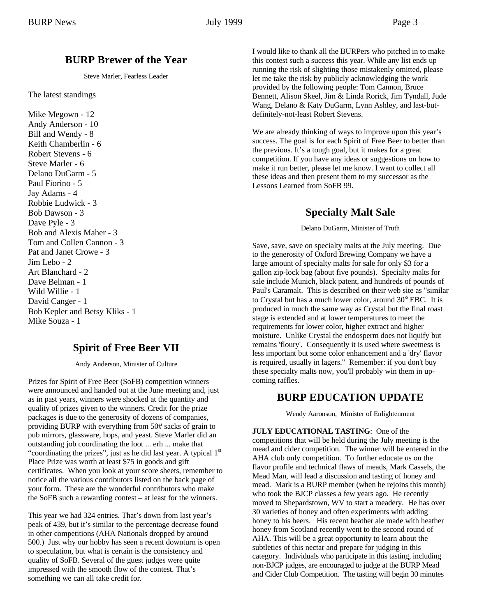## **BURP Brewer of the Year**

Steve Marler, Fearless Leader

The latest standings

Mike Megown - 12 Andy Anderson - 10 Bill and Wendy - 8 Keith Chamberlin - 6 Robert Stevens - 6 Steve Marler - 6 Delano DuGarm - 5 Paul Fiorino - 5 Jay Adams - 4 Robbie Ludwick - 3 Bob Dawson - 3 Dave Pyle - 3 Bob and Alexis Maher - 3 Tom and Collen Cannon - 3 Pat and Janet Crowe - 3 Jim Lebo - 2 Art Blanchard - 2 Dave Belman - 1 Wild Willie - 1 David Canger - 1 Bob Kepler and Betsy Kliks - 1 Mike Souza - 1

# **Spirit of Free Beer VII**

Andy Anderson, Minister of Culture

Prizes for Spirit of Free Beer (SoFB) competition winners were announced and handed out at the June meeting and, just as in past years, winners were shocked at the quantity and quality of prizes given to the winners. Credit for the prize packages is due to the generosity of dozens of companies, providing BURP with everything from 50# sacks of grain to pub mirrors, glassware, hops, and yeast. Steve Marler did an outstanding job coordinating the loot ... erh ... make that "coordinating the prizes", just as he did last year. A typical  $1<sup>st</sup>$ Place Prize was worth at least \$75 in goods and gift certificates. When you look at your score sheets, remember to notice all the various contributors listed on the back page of your form. These are the wonderful contributors who make the SoFB such a rewarding contest – at least for the winners.

This year we had 324 entries. That's down from last year's peak of 439, but it's similar to the percentage decrease found in other competitions (AHA Nationals dropped by around 500.) Just why our hobby has seen a recent downturn is open to speculation, but what is certain is the consistency and quality of SoFB. Several of the guest judges were quite impressed with the smooth flow of the contest. That's something we can all take credit for.

I would like to thank all the BURPers who pitched in to make this contest such a success this year. While any list ends up running the risk of slighting those mistakenly omitted, please let me take the risk by publicly acknowledging the work provided by the following people: Tom Cannon, Bruce Bennett, Alison Skeel, Jim & Linda Rorick, Jim Tyndall, Jude Wang, Delano & Katy DuGarm, Lynn Ashley, and last-butdefinitely-not-least Robert Stevens.

We are already thinking of ways to improve upon this year's success. The goal is for each Spirit of Free Beer to better than the previous. It's a tough goal, but it makes for a great competition. If you have any ideas or suggestions on how to make it run better, please let me know. I want to collect all these ideas and then present them to my successor as the Lessons Learned from SoFB 99.

# **Specialty Malt Sale**

Delano DuGarm, Minister of Truth

Save, save, save on specialty malts at the July meeting. Due to the generosity of Oxford Brewing Company we have a large amount of specialty malts for sale for only \$3 for a gallon zip-lock bag (about five pounds). Specialty malts for sale include Munich, black patent, and hundreds of pounds of Paul's Caramalt. This is described on their web site as "similar to Crystal but has a much lower color, around 30° EBC. It is produced in much the same way as Crystal but the final roast stage is extended and at lower temperatures to meet the requirements for lower color, higher extract and higher moisture. Unlike Crystal the endosperm does not liquify but remains 'floury'. Consequently it is used where sweetness is less important but some color enhancement and a 'dry' flavor is required, usually in lagers." Remember: if you don't buy these specialty malts now, you'll probably win them in upcoming raffles.

## **BURP EDUCATION UPDATE**

Wendy Aaronson, Minister of Enlightenment

**JULY EDUCATIONAL TASTING**: One of the competitions that will be held during the July meeting is the mead and cider competition. The winner will be entered in the AHA club only competition. To further educate us on the flavor profile and technical flaws of meads, Mark Cassels, the Mead Man, will lead a discussion and tasting of honey and mead. Mark is a BURP member (when he rejoins this month) who took the BJCP classes a few years ago. He recently moved to Shepardstown, WV to start a meadery. He has over 30 varieties of honey and often experiments with adding honey to his beers. His recent heather ale made with heather honey from Scotland recently went to the second round of AHA. This will be a great opportunity to learn about the subtleties of this nectar and prepare for judging in this category. Individuals who participate in this tasting, including non-BJCP judges, are encouraged to judge at the BURP Mead and Cider Club Competition. The tasting will begin 30 minutes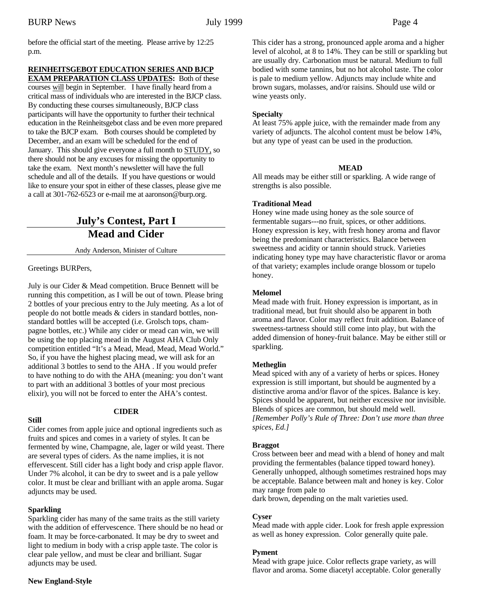before the official start of the meeting. Please arrive by 12:25 p.m.

### **REINHEITSGEBOT EDUCATION SERIES AND BJCP**

**EXAM PREPARATION CLASS UPDATES:** Both of these courses will begin in September. I have finally heard from a critical mass of individuals who are interested in the BJCP class. By conducting these courses simultaneously, BJCP class participants will have the opportunity to further their technical education in the Reinheitsgebot class and be even more prepared to take the BJCP exam. Both courses should be completed by December, and an exam will be scheduled for the end of January. This should give everyone a full month to STUDY, so there should not be any excuses for missing the opportunity to take the exam. Next month's newsletter will have the full schedule and all of the details. If you have questions or would like to ensure your spot in either of these classes, please give me a call at 301-762-6523 or e-mail me at aaronson@burp.org.

# **July's Contest, Part I Mead and Cider**

Andy Anderson, Minister of Culture

Greetings BURPers,

July is our Cider & Mead competition. Bruce Bennett will be running this competition, as I will be out of town. Please bring 2 bottles of your precious entry to the July meeting. As a lot of people do not bottle meads & ciders in standard bottles, nonstandard bottles will be accepted (i.e. Grolsch tops, champagne bottles, etc.) While any cider or mead can win, we will be using the top placing mead in the August AHA Club Only competition entitled "It's a Mead, Mead, Mead, Mead World." So, if you have the highest placing mead, we will ask for an additional 3 bottles to send to the AHA . If you would prefer to have nothing to do with the AHA (meaning: you don't want to part with an additional 3 bottles of your most precious elixir), you will not be forced to enter the AHA's contest.

## **Still**

## **CIDER**

Cider comes from apple juice and optional ingredients such as fruits and spices and comes in a variety of styles. It can be fermented by wine, Champagne, ale, lager or wild yeast. There are several types of ciders. As the name implies, it is not effervescent. Still cider has a light body and crisp apple flavor. Under 7% alcohol, it can be dry to sweet and is a pale yellow color. It must be clear and brilliant with an apple aroma. Sugar adjuncts may be used.

## **Sparkling**

Sparkling cider has many of the same traits as the still variety with the addition of effervescence. There should be no head or foam. It may be force-carbonated. It may be dry to sweet and light to medium in body with a crisp apple taste. The color is clear pale yellow, and must be clear and brilliant. Sugar adjuncts may be used.

This cider has a strong, pronounced apple aroma and a higher level of alcohol, at 8 to 14%. They can be still or sparkling but are usually dry. Carbonation must be natural. Medium to full bodied with some tannins, but no hot alcohol taste. The color is pale to medium yellow. Adjuncts may include white and brown sugars, molasses, and/or raisins. Should use wild or wine yeasts only.

#### **Specialty**

At least 75% apple juice, with the remainder made from any variety of adjuncts. The alcohol content must be below 14%, but any type of yeast can be used in the production.

#### **MEAD**

All meads may be either still or sparkling. A wide range of strengths is also possible.

#### **Traditional Mead**

Honey wine made using honey as the sole source of fermentable sugars---no fruit, spices, or other additions. Honey expression is key, with fresh honey aroma and flavor being the predominant characteristics. Balance between sweetness and acidity or tannin should struck. Varieties indicating honey type may have characteristic flavor or aroma of that variety; examples include orange blossom or tupelo honey.

#### **Melomel**

Mead made with fruit. Honey expression is important, as in traditional mead, but fruit should also be apparent in both aroma and flavor. Color may reflect fruit addition. Balance of sweetness-tartness should still come into play, but with the added dimension of honey-fruit balance. May be either still or sparkling.

#### **Metheglin**

Mead spiced with any of a variety of herbs or spices. Honey expression is still important, but should be augmented by a distinctive aroma and/or flavor of the spices. Balance is key. Spices should be apparent, but neither excessive nor invisible. Blends of spices are common, but should meld well. *[Remember Polly's Rule of Three: Don't use more than three spices, Ed.]*

#### **Braggot**

Cross between beer and mead with a blend of honey and malt providing the fermentables (balance tipped toward honey). Generally unhopped, although sometimes restrained hops may be acceptable. Balance between malt and honey is key. Color may range from pale to

dark brown, depending on the malt varieties used.

#### **Cyser**

Mead made with apple cider. Look for fresh apple expression as well as honey expression. Color generally quite pale.

#### **Pyment**

Mead with grape juice. Color reflects grape variety, as will flavor and aroma. Some diacetyl acceptable. Color generally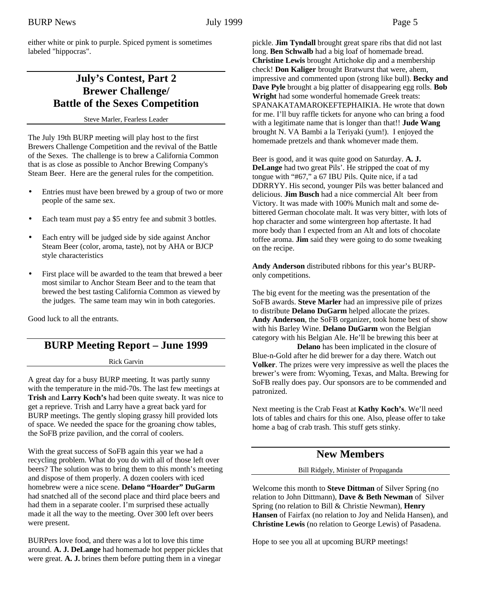either white or pink to purple. Spiced pyment is sometimes labeled "hippocras".

## **July's Contest, Part 2 Brewer Challenge/ Battle of the Sexes Competition**

Steve Marler, Fearless Leader

The July 19th BURP meeting will play host to the first Brewers Challenge Competition and the revival of the Battle of the Sexes. The challenge is to brew a California Common that is as close as possible to Anchor Brewing Company's Steam Beer. Here are the general rules for the competition.

- Entries must have been brewed by a group of two or more people of the same sex.
- Each team must pay a \$5 entry fee and submit 3 bottles.
- Each entry will be judged side by side against Anchor Steam Beer (color, aroma, taste), not by AHA or BJCP style characteristics
- First place will be awarded to the team that brewed a beer most similar to Anchor Steam Beer and to the team that brewed the best tasting California Common as viewed by the judges. The same team may win in both categories.

Good luck to all the entrants.

# **BURP Meeting Report – June 1999**

#### Rick Garvin

A great day for a busy BURP meeting. It was partly sunny with the temperature in the mid-70s. The last few meetings at **Trish** and **Larry Koch's** had been quite sweaty. It was nice to get a reprieve. Trish and Larry have a great back yard for BURP meetings. The gently sloping grassy hill provided lots of space. We needed the space for the groaning chow tables, the SoFB prize pavilion, and the corral of coolers.

With the great success of SoFB again this year we had a recycling problem. What do you do with all of those left over beers? The solution was to bring them to this month's meeting and dispose of them properly. A dozen coolers with iced homebrew were a nice scene. **Delano "Hoarder" DuGarm** had snatched all of the second place and third place beers and had them in a separate cooler. I'm surprised these actually made it all the way to the meeting. Over 300 left over beers were present.

BURPers love food, and there was a lot to love this time around. **A. J. DeLange** had homemade hot pepper pickles that were great. **A. J.** brines them before putting them in a vinegar

pickle. **Jim Tyndall** brought great spare ribs that did not last long. **Ben Schwalb** had a big loaf of homemade bread. **Christine Lewis** brought Artichoke dip and a membership check! **Don Kaliger** brought Bratwurst that were, ahem, impressive and commented upon (strong like bull). **Becky and Dave Pyle** brought a big platter of disappearing egg rolls. **Bob Wright** had some wonderful homemade Greek treats: SPANAKATAMAROKEFTEPHAIKIA. He wrote that down for me. I'll buy raffle tickets for anyone who can bring a food with a legitimate name that is longer than that!! **Jude Wang** brought N. VA Bambi a la Teriyaki (yum!). I enjoyed the homemade pretzels and thank whomever made them.

Beer is good, and it was quite good on Saturday. **A. J. DeLange** had two great Pils'. He stripped the coat of my tongue with "#67," a 67 IBU Pils. Quite nice, if a tad DDRRYY. His second, younger Pils was better balanced and delicious. **Jim Busch** had a nice commercial Alt beer from Victory. It was made with 100% Munich malt and some debittered German chocolate malt. It was very bitter, with lots of hop character and some wintergreen hop aftertaste. It had more body than I expected from an Alt and lots of chocolate toffee aroma. **Jim** said they were going to do some tweaking on the recipe.

**Andy Anderson** distributed ribbons for this year's BURPonly competitions.

The big event for the meeting was the presentation of the SoFB awards. **Steve Marler** had an impressive pile of prizes to distribute **Delano DuGarm** helped allocate the prizes. **Andy Anderson**, the SoFB organizer, took home best of show with his Barley Wine. **Delano DuGarm** won the Belgian category with his Belgian Ale. He'll be brewing this beer at

**Delano** has been implicated in the closure of Blue-n-Gold after he did brewer for a day there. Watch out **Volker**. The prizes were very impressive as well the places the brewer's were from: Wyoming, Texas, and Malta. Brewing for SoFB really does pay. Our sponsors are to be commended and patronized.

Next meeting is the Crab Feast at **Kathy Koch's**. We'll need lots of tables and chairs for this one. Also, please offer to take home a bag of crab trash. This stuff gets stinky.

# **New Members**

Bill Ridgely, Minister of Propaganda

Welcome this month to **Steve Dittman** of Silver Spring (no relation to John Dittmann), **Dave & Beth Newman** of Silver Spring (no relation to Bill & Christie Newman), **Henry Hansen** of Fairfax (no relation to Joy and Nelida Hansen), and **Christine Lewis** (no relation to George Lewis) of Pasadena.

Hope to see you all at upcoming BURP meetings!